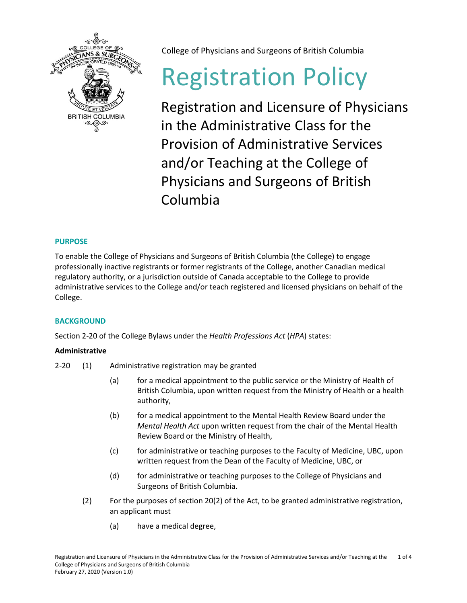

College of Physicians and Surgeons of British Columbia

# Registration Policy

Registration and Licensure of Physicians in the Administrative Class for the Provision of Administrative Services and/or Teaching at the College of Physicians and Surgeons of British Columbia

## **PURPOSE**

To enable the College of Physicians and Surgeons of British Columbia (the College) to engage professionally inactive registrants or former registrants of the College, another Canadian medical regulatory authority, or a jurisdiction outside of Canada acceptable to the College to provide administrative services to the College and/or teach registered and licensed physicians on behalf of the College.

## **BACKGROUND**

Section 2-20 of the College Bylaws under the *Health Professions Act* (*HPA*) states:

## **Administrative**

- 2-20 (1) Administrative registration may be granted
	- (a) for a medical appointment to the public service or the Ministry of Health of British Columbia, upon written request from the Ministry of Health or a health authority,
	- (b) for a medical appointment to the Mental Health Review Board under the *Mental Health Act* upon written request from the chair of the Mental Health Review Board or the Ministry of Health,
	- (c) for administrative or teaching purposes to the Faculty of Medicine, UBC, upon written request from the Dean of the Faculty of Medicine, UBC, or
	- (d) for administrative or teaching purposes to the College of Physicians and Surgeons of British Columbia.
	- (2) For the purposes of section 20(2) of the Act, to be granted administrative registration, an applicant must
		- (a) have a medical degree,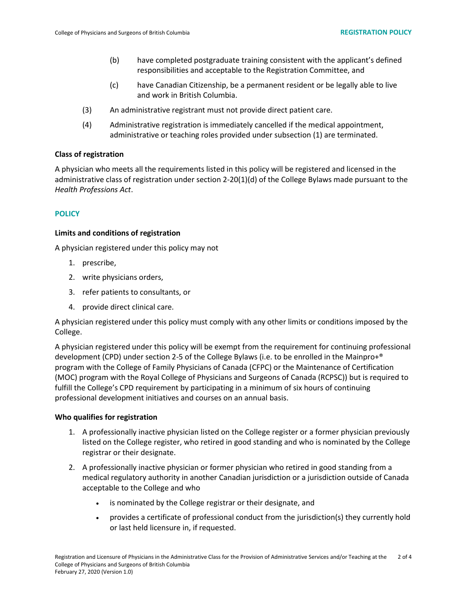- (b) have completed postgraduate training consistent with the applicant's defined responsibilities and acceptable to the Registration Committee, and
- (c) have Canadian Citizenship, be a permanent resident or be legally able to live and work in British Columbia.
- (3) An administrative registrant must not provide direct patient care.
- (4) Administrative registration is immediately cancelled if the medical appointment, administrative or teaching roles provided under subsection (1) are terminated.

#### **Class of registration**

A physician who meets all the requirements listed in this policy will be registered and licensed in the administrative class of registration under section 2-20(1)(d) of the College Bylaws made pursuant to the *Health Professions Act*.

#### **POLICY**

#### **Limits and conditions of registration**

A physician registered under this policy may not

- 1. prescribe,
- 2. write physicians orders,
- 3. refer patients to consultants, or
- 4. provide direct clinical care.

A physician registered under this policy must comply with any other limits or conditions imposed by the College.

A physician registered under this policy will be exempt from the requirement for continuing professional development (CPD) under section 2-5 of the College Bylaws (i.e. to be enrolled in the Mainpro+® program with the College of Family Physicians of Canada (CFPC) or the Maintenance of Certification (MOC) program with the Royal College of Physicians and Surgeons of Canada (RCPSC)) but is required to fulfill the College's CPD requirement by participating in a minimum of six hours of continuing professional development initiatives and courses on an annual basis.

#### **Who qualifies for registration**

- 1. A professionally inactive physician listed on the College register or a former physician previously listed on the College register, who retired in good standing and who is nominated by the College registrar or their designate.
- 2. A professionally inactive physician or former physician who retired in good standing from a medical regulatory authority in another Canadian jurisdiction or a jurisdiction outside of Canada acceptable to the College and who
	- is nominated by the College registrar or their designate, and
	- provides a certificate of professional conduct from the jurisdiction(s) they currently hold or last held licensure in, if requested.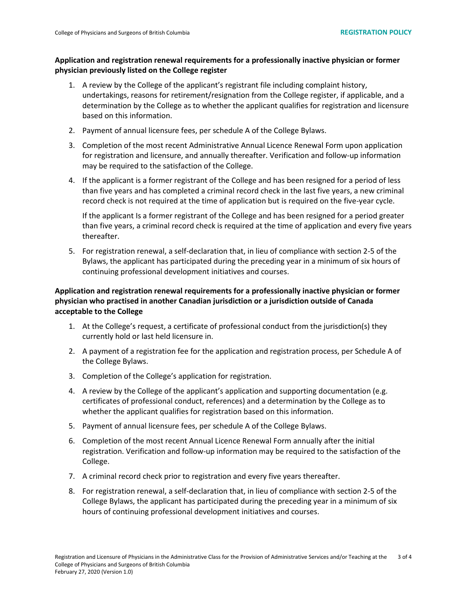## **Application and registration renewal requirements for a professionally inactive physician or former physician previously listed on the College register**

- 1. A review by the College of the applicant's registrant file including complaint history, undertakings, reasons for retirement/resignation from the College register, if applicable, and a determination by the College as to whether the applicant qualifies for registration and licensure based on this information.
- 2. Payment of annual licensure fees, per schedule A of the College Bylaws.
- 3. Completion of the most recent Administrative Annual Licence Renewal Form upon application for registration and licensure, and annually thereafter. Verification and follow-up information may be required to the satisfaction of the College.
- 4. If the applicant is a former registrant of the College and has been resigned for a period of less than five years and has completed a criminal record check in the last five years, a new criminal record check is not required at the time of application but is required on the five-year cycle.

If the applicant Is a former registrant of the College and has been resigned for a period greater than five years, a criminal record check is required at the time of application and every five years thereafter.

5. For registration renewal, a self-declaration that, in lieu of compliance with section 2-5 of the Bylaws, the applicant has participated during the preceding year in a minimum of six hours of continuing professional development initiatives and courses.

## **Application and registration renewal requirements for a professionally inactive physician or former physician who practised in another Canadian jurisdiction or a jurisdiction outside of Canada acceptable to the College**

- 1. At the College's request, a certificate of professional conduct from the jurisdiction(s) they currently hold or last held licensure in.
- 2. A payment of a registration fee for the application and registration process, per Schedule A of the College Bylaws.
- 3. Completion of the College's application for registration.
- 4. A review by the College of the applicant's application and supporting documentation (e.g. certificates of professional conduct, references) and a determination by the College as to whether the applicant qualifies for registration based on this information.
- 5. Payment of annual licensure fees, per schedule A of the College Bylaws.
- 6. Completion of the most recent Annual Licence Renewal Form annually after the initial registration. Verification and follow-up information may be required to the satisfaction of the College.
- 7. A criminal record check prior to registration and every five years thereafter.
- 8. For registration renewal, a self-declaration that, in lieu of compliance with section 2-5 of the College Bylaws, the applicant has participated during the preceding year in a minimum of six hours of continuing professional development initiatives and courses.